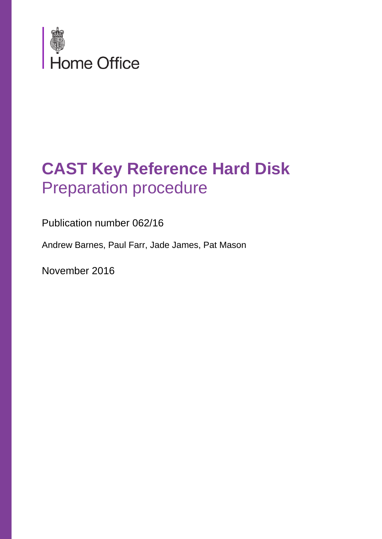

### **CAST Key Reference Hard Disk**  Preparation procedure

Publication number 062/16

Andrew Barnes, Paul Farr, Jade James, Pat Mason

November 2016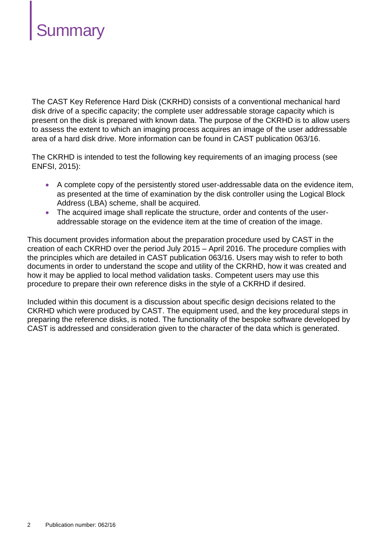

The CAST Key Reference Hard Disk (CKRHD) consists of a conventional mechanical hard disk drive of a specific capacity; the complete user addressable storage capacity which is present on the disk is prepared with known data. The purpose of the CKRHD is to allow users to assess the extent to which an imaging process acquires an image of the user addressable area of a hard disk drive. More information can be found in CAST publication 063/16.

The CKRHD is intended to test the following key requirements of an imaging process (see ENFSI, 2015):

- A complete copy of the persistently stored user-addressable data on the evidence item, as presented at the time of examination by the disk controller using the Logical Block Address (LBA) scheme, shall be acquired.
- The acquired image shall replicate the structure, order and contents of the useraddressable storage on the evidence item at the time of creation of the image.

This document provides information about the preparation procedure used by CAST in the creation of each CKRHD over the period July 2015 – April 2016. The procedure complies with the principles which are detailed in CAST publication 063/16. Users may wish to refer to both documents in order to understand the scope and utility of the CKRHD, how it was created and how it may be applied to local method validation tasks. Competent users may use this procedure to prepare their own reference disks in the style of a CKRHD if desired.

Included within this document is a discussion about specific design decisions related to the CKRHD which were produced by CAST. The equipment used, and the key procedural steps in preparing the reference disks, is noted. The functionality of the bespoke software developed by CAST is addressed and consideration given to the character of the data which is generated.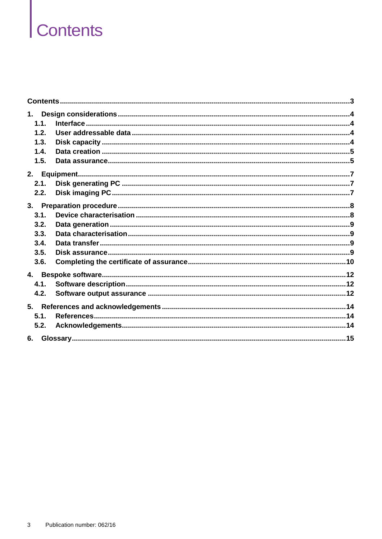## <span id="page-2-0"></span>Contents

| 1.   |  |
|------|--|
| 1.1. |  |
| 1.2. |  |
| 1.3. |  |
| 1.4. |  |
| 1.5. |  |
|      |  |
| 2.1. |  |
| 2.2. |  |
| 3.   |  |
| 3.1. |  |
| 3.2. |  |
| 3.3. |  |
| 3.4. |  |
| 3.5. |  |
| 3.6. |  |
|      |  |
| 4.1. |  |
| 4.2. |  |
| 5.   |  |
| 5.1. |  |
| 5.2. |  |
| 6.   |  |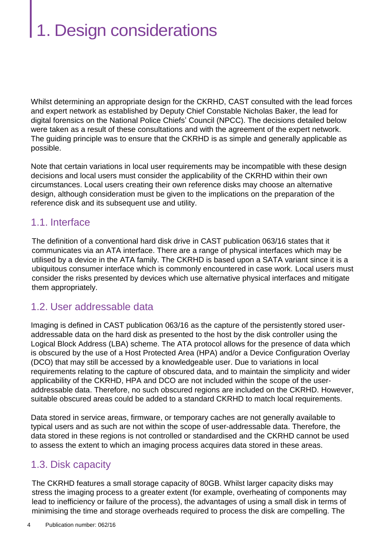## <span id="page-3-0"></span>1. Design considerations

Whilst determining an appropriate design for the CKRHD, CAST consulted with the lead forces and expert network as established by Deputy Chief Constable Nicholas Baker, the lead for digital forensics on the National Police Chiefs' Council (NPCC). The decisions detailed below were taken as a result of these consultations and with the agreement of the expert network. The guiding principle was to ensure that the CKRHD is as simple and generally applicable as possible.

Note that certain variations in local user requirements may be incompatible with these design decisions and local users must consider the applicability of the CKRHD within their own circumstances. Local users creating their own reference disks may choose an alternative design, although consideration must be given to the implications on the preparation of the reference disk and its subsequent use and utility.

#### <span id="page-3-1"></span>1.1. Interface

The definition of a conventional hard disk drive in CAST publication 063/16 states that it communicates via an ATA interface. There are a range of physical interfaces which may be utilised by a device in the ATA family. The CKRHD is based upon a SATA variant since it is a ubiquitous consumer interface which is commonly encountered in case work. Local users must consider the risks presented by devices which use alternative physical interfaces and mitigate them appropriately.

#### <span id="page-3-2"></span>1.2. User addressable data

Imaging is defined in CAST publication 063/16 as the capture of the persistently stored useraddressable data on the hard disk as presented to the host by the disk controller using the Logical Block Address (LBA) scheme. The ATA protocol allows for the presence of data which is obscured by the use of a Host Protected Area (HPA) and/or a Device Configuration Overlay (DCO) that may still be accessed by a knowledgeable user. Due to variations in local requirements relating to the capture of obscured data, and to maintain the simplicity and wider applicability of the CKRHD, HPA and DCO are not included within the scope of the useraddressable data. Therefore, no such obscured regions are included on the CKRHD. However, suitable obscured areas could be added to a standard CKRHD to match local requirements.

Data stored in service areas, firmware, or temporary caches are not generally available to typical users and as such are not within the scope of user-addressable data. Therefore, the data stored in these regions is not controlled or standardised and the CKRHD cannot be used to assess the extent to which an imaging process acquires data stored in these areas.

#### <span id="page-3-3"></span>1.3. Disk capacity

The CKRHD features a small storage capacity of 80GB. Whilst larger capacity disks may stress the imaging process to a greater extent (for example, overheating of components may lead to inefficiency or failure of the process), the advantages of using a small disk in terms of minimising the time and storage overheads required to process the disk are compelling. The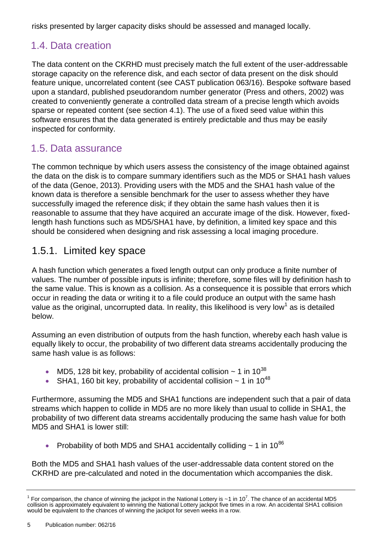risks presented by larger capacity disks should be assessed and managed locally.

#### <span id="page-4-0"></span>1.4. Data creation

The data content on the CKRHD must precisely match the full extent of the user-addressable storage capacity on the reference disk, and each sector of data present on the disk should feature unique, uncorrelated content (see CAST publication 063/16). Bespoke software based upon a standard, published pseudorandom number generator (Press and others, 2002) was created to conveniently generate a controlled data stream of a precise length which avoids sparse or repeated content (see section [4.1\)](#page-11-1). The use of a fixed seed value within this software ensures that the data generated is entirely predictable and thus may be easily inspected for conformity.

#### <span id="page-4-1"></span>1.5. Data assurance

The common technique by which users assess the consistency of the image obtained against the data on the disk is to compare summary identifiers such as the MD5 or SHA1 hash values of the data (Genoe, 2013). Providing users with the MD5 and the SHA1 hash value of the known data is therefore a sensible benchmark for the user to assess whether they have successfully imaged the reference disk; if they obtain the same hash values then it is reasonable to assume that they have acquired an accurate image of the disk. However, fixedlength hash functions such as MD5/SHA1 have, by definition, a limited key space and this should be considered when designing and risk assessing a local imaging procedure.

#### 1.5.1. Limited key space

A hash function which generates a fixed length output can only produce a finite number of values. The number of possible inputs is infinite; therefore, some files will by definition hash to the same value. This is known as a collision. As a consequence it is possible that errors which occur in reading the data or writing it to a file could produce an output with the same hash value as the original, uncorrupted data. In reality, this likelihood is very low<sup>1</sup> as is detailed below.

Assuming an even distribution of outputs from the hash function, whereby each hash value is equally likely to occur, the probability of two different data streams accidentally producing the same hash value is as follows:

- MD5, 128 bit key, probability of accidental collision  $\sim$  1 in 10<sup>38</sup>
- SHA1, 160 bit key, probability of accidental collision  $\sim$  1 in 10<sup>48</sup>

Furthermore, assuming the MD5 and SHA1 functions are independent such that a pair of data streams which happen to collide in MD5 are no more likely than usual to collide in SHA1, the probability of two different data streams accidentally producing the same hash value for both MD5 and SHA1 is lower still:

Probability of both MD5 and SHA1 accidentally colliding  $\sim$  1 in 10<sup>86</sup>

Both the MD5 and SHA1 hash values of the user-addressable data content stored on the CKRHD are pre-calculated and noted in the documentation which accompanies the disk.

<sup>&</sup>lt;sup>1</sup> For comparison, the chance of winning the jackpot in the National Lottery is ~1 in 10<sup>7</sup>. The chance of an accidental MD5 collision is approximately equivalent to winning the National Lottery jackpot five times in a row. An accidental SHA1 collision would be equivalent to the chances of winning the jackpot for seven weeks in a row.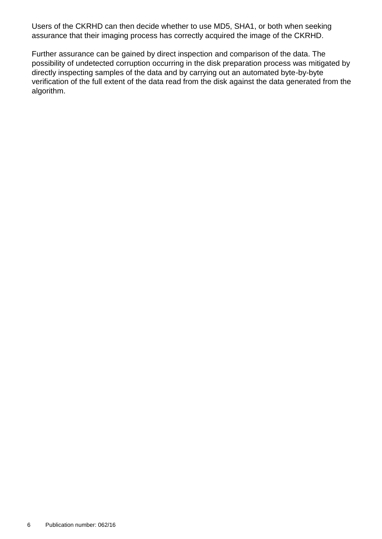Users of the CKRHD can then decide whether to use MD5, SHA1, or both when seeking assurance that their imaging process has correctly acquired the image of the CKRHD.

Further assurance can be gained by direct inspection and comparison of the data. The possibility of undetected corruption occurring in the disk preparation process was mitigated by directly inspecting samples of the data and by carrying out an automated byte-by-byte verification of the full extent of the data read from the disk against the data generated from the algorithm.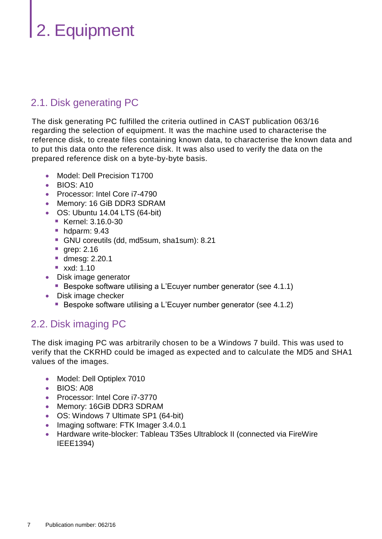## <span id="page-6-0"></span>2. Equipment

#### <span id="page-6-1"></span>2.1. Disk generating PC

The disk generating PC fulfilled the criteria outlined in CAST publication 063/16 regarding the selection of equipment. It was the machine used to characterise the reference disk, to create files containing known data, to characterise the known data and to put this data onto the reference disk. It was also used to verify the data on the prepared reference disk on a byte-by-byte basis.

- Model: Dell Precision T1700
- BIOS: A10
- **Processor: Intel Core i7-4790**
- Memory: 16 GiB DDR3 SDRAM
- OS: Ubuntu 14.04 LTS (64-bit)
	- **Kernel: 3.16.0-30**
	- $\blacksquare$  hdparm: 9.43
	- GNU coreutils (dd, md5sum, sha1sum): 8.21
	- **grep: 2.16**
	- dmesg: 2.20.1
	- **xxd: 1.10**
- Disk image generator
	- Bespoke software utilising a L'Ecuyer number generator (see [4.1.1\)](#page-11-3)
- Disk image checker
	- Bespoke software utilising a L'Ecuyer number generator (see [4.1.2\)](#page-11-4)

#### <span id="page-6-2"></span>2.2. Disk imaging PC

The disk imaging PC was arbitrarily chosen to be a Windows 7 build. This was used to verify that the CKRHD could be imaged as expected and to calculate the MD5 and SHA1 values of the images.

- Model: Dell Optiplex 7010
- BIOS: A08
- Processor: Intel Core i7-3770
- Memory: 16GiB DDR3 SDRAM
- OS: Windows 7 Ultimate SP1 (64-bit)
- Imaging software: FTK Imager 3.4.0.1
- Hardware write-blocker: Tableau T35es Ultrablock II (connected via FireWire IEEE1394)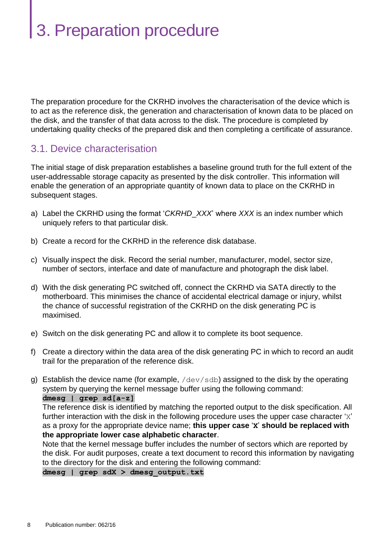## <span id="page-7-0"></span>3. Preparation procedure

The preparation procedure for the CKRHD involves the characterisation of the device which is to act as the reference disk, the generation and characterisation of known data to be placed on the disk, and the transfer of that data across to the disk. The procedure is completed by undertaking quality checks of the prepared disk and then completing a certificate of assurance.

#### <span id="page-7-1"></span>3.1. Device characterisation

The initial stage of disk preparation establishes a baseline ground truth for the full extent of the user-addressable storage capacity as presented by the disk controller. This information will enable the generation of an appropriate quantity of known data to place on the CKRHD in subsequent stages.

- a) Label the CKRHD using the format '*CKRHD*\_*XXX*' where *XXX* is an index number which uniquely refers to that particular disk.
- b) Create a record for the CKRHD in the reference disk database.
- c) Visually inspect the disk. Record the serial number, manufacturer, model, sector size, number of sectors, interface and date of manufacture and photograph the disk label.
- d) With the disk generating PC switched off, connect the CKRHD via SATA directly to the motherboard. This minimises the chance of accidental electrical damage or injury, whilst the chance of successful registration of the CKRHD on the disk generating PC is maximised.
- e) Switch on the disk generating PC and allow it to complete its boot sequence.
- f) Create a directory within the data area of the disk generating PC in which to record an audit trail for the preparation of the reference disk.
- g) Establish the device name (for example,  $/$  dev $/$ sdb) assigned to the disk by the operating system by querying the kernel message buffer using the following command: **dmesg | grep sd[a-z]**

The reference disk is identified by matching the reported output to the disk specification. All further interaction with the disk in the following procedure uses the upper case character 'x' as a proxy for the appropriate device name; **this upper case** '**X**' **should be replaced with the appropriate lower case alphabetic character**.

Note that the kernel message buffer includes the number of sectors which are reported by the disk. For audit purposes, create a text document to record this information by navigating to the directory for the disk and entering the following command:

**dmesg | grep sdX > dmesg\_output.txt**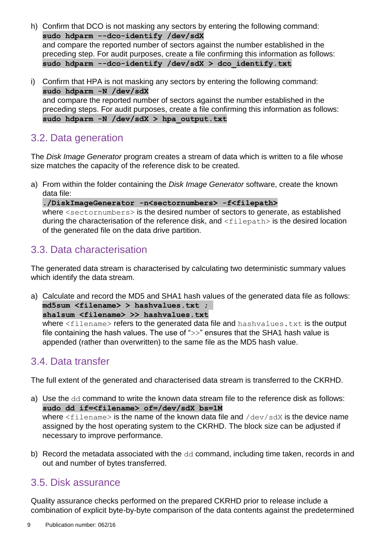- h) Confirm that DCO is not masking any sectors by entering the following command: **sudo hdparm --dco-identify /dev/sdX** and compare the reported number of sectors against the number established in the preceding step. For audit purposes, create a file confirming this information as follows: **sudo hdparm --dco-identify /dev/sdX > dco\_identify.txt**
- i) Confirm that HPA is not masking any sectors by entering the following command: **sudo hdparm -N /dev/sdX** and compare the reported number of sectors against the number established in the preceding steps. For audit purposes, create a file confirming this information as follows: **sudo hdparm -N /dev/sdX > hpa\_output.txt**

#### <span id="page-8-0"></span>3.2. Data generation

The *Disk Image Generator* program creates a stream of data which is written to a file whose size matches the capacity of the reference disk to be created.

a) From within the folder containing the *Disk Image Generator* software, create the known data file:

**./DiskImageGenerator -n<sectornumbers> -f<filepath>** where  $\leq$  sectornumbers> is the desired number of sectors to generate, as established during the characterisation of the reference disk, and  $\leq$  filepath  $>$  is the desired location of the generated file on the data drive partition.

#### <span id="page-8-1"></span>3.3. Data characterisation

The generated data stream is characterised by calculating two deterministic summary values which identify the data stream.

a) Calculate and record the MD5 and SHA1 hash values of the generated data file as follows: **md5sum <filename> > hashvalues.txt ; sha1sum <filename> >> hashvalues.txt** where <filename> refers to the generated data file and hashvalues.txt is the output file containing the hash values. The use of ">>" ensures that the SHA1 hash value is appended (rather than overwritten) to the same file as the MD5 hash value.

#### <span id="page-8-2"></span>3.4. Data transfer

The full extent of the generated and characterised data stream is transferred to the CKRHD.

- a) Use the dd command to write the known data stream file to the reference disk as follows: **sudo dd if=<filename> of=/dev/sdX bs=1M** where  $\leq$  filename is the name of the known data file and  $/$  dev/sdX is the device name assigned by the host operating system to the CKRHD. The block size can be adjusted if necessary to improve performance.
- b) Record the metadata associated with the dd command, including time taken, records in and out and number of bytes transferred.

#### <span id="page-8-3"></span>3.5. Disk assurance

Quality assurance checks performed on the prepared CKRHD prior to release include a combination of explicit byte-by-byte comparison of the data contents against the predetermined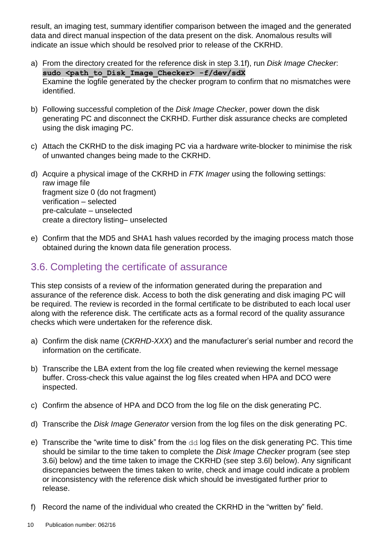result, an imaging test, summary identifier comparison between the imaged and the generated data and direct manual inspection of the data present on the disk. Anomalous results will indicate an issue which should be resolved prior to release of the CKRHD.

- a) From the directory created for the reference disk in step [3.1f\),](#page-7-1) run *Disk Image Checker*: sudo <path to Disk Image Checker> -f/dev/sdX Examine the logfile generated by the checker program to confirm that no mismatches were identified.
- b) Following successful completion of the *Disk Image Checker*, power down the disk generating PC and disconnect the CKRHD. Further disk assurance checks are completed using the disk imaging PC.
- c) Attach the CKRHD to the disk imaging PC via a hardware write-blocker to minimise the risk of unwanted changes being made to the CKRHD.
- d) Acquire a physical image of the CKRHD in *FTK Imager* using the following settings: raw image file fragment size 0 (do not fragment) verification – selected pre-calculate – unselected create a directory listing– unselected
- e) Confirm that the MD5 and SHA1 hash values recorded by the imaging process match those obtained during the known data file generation process.

#### <span id="page-9-0"></span>3.6. Completing the certificate of assurance

This step consists of a review of the information generated during the preparation and assurance of the reference disk. Access to both the disk generating and disk imaging PC will be required. The review is recorded in the formal certificate to be distributed to each local user along with the reference disk. The certificate acts as a formal record of the quality assurance checks which were undertaken for the reference disk.

- a) Confirm the disk name (*CKRHD-XXX*) and the manufacturer's serial number and record the information on the certificate.
- b) Transcribe the LBA extent from the log file created when reviewing the kernel message buffer. Cross-check this value against the log files created when HPA and DCO were inspected.
- c) Confirm the absence of HPA and DCO from the log file on the disk generating PC.
- d) Transcribe the *Disk Image Generator* version from the log files on the disk generating PC.
- e) Transcribe the "write time to disk" from the  $dd$  log files on the disk generating PC. This time should be similar to the time taken to complete the *Disk Image Checker* program (see step [3.6i\)](#page-9-0) below) and the time taken to image the CKRHD (see step [3.6l\)](#page-9-0) below). Any significant discrepancies between the times taken to write, check and image could indicate a problem or inconsistency with the reference disk which should be investigated further prior to release.
- f) Record the name of the individual who created the CKRHD in the "written by" field.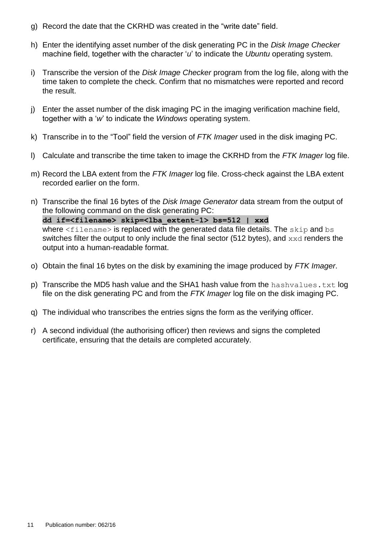- g) Record the date that the CKRHD was created in the "write date" field.
- h) Enter the identifying asset number of the disk generating PC in the *Disk Image Checker* machine field, together with the character '*u*' to indicate the *Ubuntu* operating system.
- i) Transcribe the version of the *Disk Image Checker* program from the log file, along with the time taken to complete the check. Confirm that no mismatches were reported and record the result.
- j) Enter the asset number of the disk imaging PC in the imaging verification machine field, together with a '*w*' to indicate the *Windows* operating system.
- k) Transcribe in to the "Tool" field the version of *FTK Imager* used in the disk imaging PC.
- l) Calculate and transcribe the time taken to image the CKRHD from the *FTK Imager* log file.
- m) Record the LBA extent from the *FTK Imager* log file. Cross-check against the LBA extent recorded earlier on the form.
- n) Transcribe the final 16 bytes of the *Disk Image Generator* data stream from the output of the following command on the disk generating PC: **dd if=<filename> skip=<lba\_extent-1> bs=512 | xxd** where  $\leq$  filename  $>$  is replaced with the generated data file details. The skip and bs switches filter the output to only include the final sector (512 bytes), and  $xxd$  renders the output into a human-readable format.
- o) Obtain the final 16 bytes on the disk by examining the image produced by *FTK Imager*.
- p) Transcribe the MD5 hash value and the SHA1 hash value from the hashvalues.txt log file on the disk generating PC and from the *FTK Imager* log file on the disk imaging PC.
- q) The individual who transcribes the entries signs the form as the verifying officer.
- r) A second individual (the authorising officer) then reviews and signs the completed certificate, ensuring that the details are completed accurately.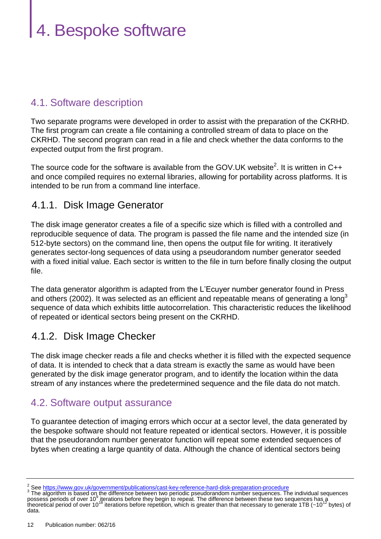## <span id="page-11-0"></span>4. Bespoke software

#### <span id="page-11-1"></span>4.1. Software description

Two separate programs were developed in order to assist with the preparation of the CKRHD. The first program can create a file containing a controlled stream of data to place on the CKRHD. The second program can read in a file and check whether the data conforms to the expected output from the first program.

The source code for the software is available from the GOV.UK website<sup>2</sup>. It is written in C++ and once compiled requires no external libraries, allowing for portability across platforms. It is intended to be run from a command line interface.

#### <span id="page-11-3"></span>4.1.1. Disk Image Generator

The disk image generator creates a file of a specific size which is filled with a controlled and reproducible sequence of data. The program is passed the file name and the intended size (in 512-byte sectors) on the command line, then opens the output file for writing. It iteratively generates sector-long sequences of data using a pseudorandom number generator seeded with a fixed initial value. Each sector is written to the file in turn before finally closing the output file.

The data generator algorithm is adapted from the L'Ecuyer number generator found in Press and others (2002). It was selected as an efficient and repeatable means of generating a long<sup>3</sup> sequence of data which exhibits little autocorrelation. This characteristic reduces the likelihood of repeated or identical sectors being present on the CKRHD.

#### <span id="page-11-4"></span>4.1.2. Disk Image Checker

The disk image checker reads a file and checks whether it is filled with the expected sequence of data. It is intended to check that a data stream is exactly the same as would have been generated by the disk image generator program, and to identify the location within the data stream of any instances where the predetermined sequence and the file data do not match.

#### <span id="page-11-2"></span>4.2. Software output assurance

To guarantee detection of imaging errors which occur at a sector level, the data generated by the bespoke software should not feature repeated or identical sectors. However, it is possible that the pseudorandom number generator function will repeat some extended sequences of bytes when creating a large quantity of data. Although the chance of identical sectors being

<sup>2</sup> See<https://www.gov.uk/government/publications/cast-key-reference-hard-disk-preparation-procedure>

<sup>&</sup>lt;sup>3</sup> The algorithm is based on the difference between two periodic pseudorandom number sequences. The individual sequences possess periods of over 10<sup>9</sup> iterations before they begin to repeat. The difference between these data.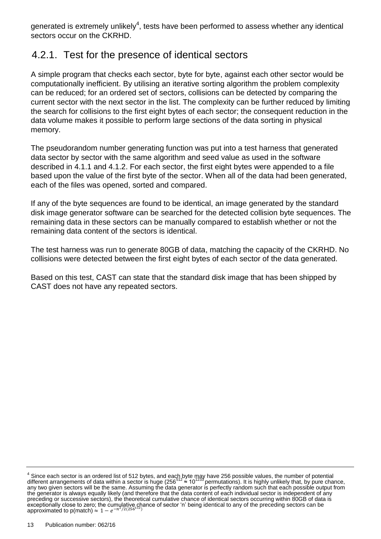generated is extremely unlikely<sup>4</sup>, tests have been performed to assess whether any identical sectors occur on the CKRHD.

#### 4.2.1. Test for the presence of identical sectors

A simple program that checks each sector, byte for byte, against each other sector would be computationally inefficient. By utilising an iterative sorting algorithm the problem complexity can be reduced; for an ordered set of sectors, collisions can be detected by comparing the current sector with the next sector in the list. The complexity can be further reduced by limiting the search for collisions to the first eight bytes of each sector; the consequent reduction in the data volume makes it possible to perform large sections of the data sorting in physical memory.

The pseudorandom number generating function was put into a test harness that generated data sector by sector with the same algorithm and seed value as used in the software described in [4.1.1](#page-11-3) and [4.1.2.](#page-11-4) For each sector, the first eight bytes were appended to a file based upon the value of the first byte of the sector. When all of the data had been generated, each of the files was opened, sorted and compared.

If any of the byte sequences are found to be identical, an image generated by the standard disk image generator software can be searched for the detected collision byte sequences. The remaining data in these sectors can be manually compared to establish whether or not the remaining data content of the sectors is identical.

The test harness was run to generate 80GB of data, matching the capacity of the CKRHD. No collisions were detected between the first eight bytes of each sector of the data generated.

Based on this test, CAST can state that the standard disk image that has been shipped by CAST does not have any repeated sectors.

 $^4$  Since each sector is an ordered list of 512 bytes, and each byte may have 256 possible values, the number of potential<br>different arrangements of data within a sector is huge (256<sup>512</sup> ≈ 10<sup>1233</sup> permutations). It is any two given sectors will be the same. Assuming the data generator is perfectly random such that each possible output from the generator is always equally likely (and therefore that the data content of each individual sector is independent of any preceding or successive sectors), the theoretical cumulative chance of identical sectors occurring within 80GB of data is exceptionally close to zero; the cumulative chance of sector 'n' being identical to any of the preceding sectors can be approximated to p(match)  $\approx 1-e^{-n^2}$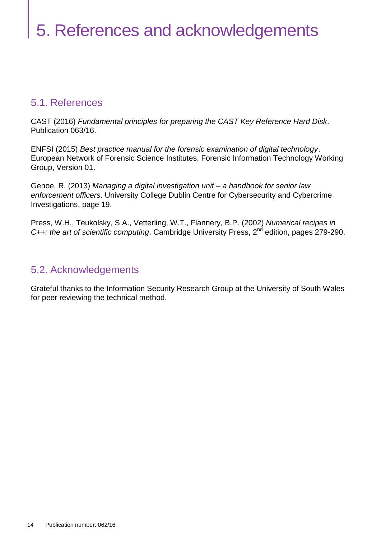#### <span id="page-13-1"></span><span id="page-13-0"></span>5.1. References

CAST (2016) *Fundamental principles for preparing the CAST Key Reference Hard Disk*. Publication 063/16.

ENFSI (2015) *Best practice manual for the forensic examination of digital technology*. European Network of Forensic Science Institutes, Forensic Information Technology Working Group, Version 01.

Genoe, R. (2013) *Managing a digital investigation unit – a handbook for senior law enforcement officers*. University College Dublin Centre for Cybersecurity and Cybercrime Investigations, page 19.

Press, W.H., Teukolsky, S.A., Vetterling, W.T., Flannery, B.P. (2002) *Numerical recipes in*  C++: the art of scientific computing. Cambridge University Press, 2<sup>nd</sup> edition, pages 279-290.

#### <span id="page-13-2"></span>5.2. Acknowledgements

Grateful thanks to the Information Security Research Group at the University of South Wales for peer reviewing the technical method.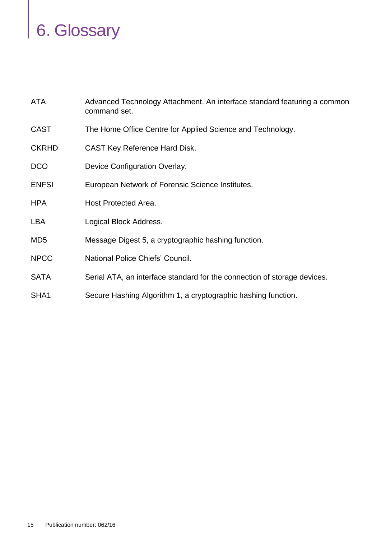# <span id="page-14-0"></span>6. Glossary

| ATA             | Advanced Technology Attachment. An interface standard featuring a common<br>command set. |
|-----------------|------------------------------------------------------------------------------------------|
| <b>CAST</b>     | The Home Office Centre for Applied Science and Technology.                               |
| <b>CKRHD</b>    | <b>CAST Key Reference Hard Disk.</b>                                                     |
| <b>DCO</b>      | Device Configuration Overlay.                                                            |
| <b>ENFSI</b>    | European Network of Forensic Science Institutes.                                         |
| <b>HPA</b>      | <b>Host Protected Area.</b>                                                              |
| <b>LBA</b>      | Logical Block Address.                                                                   |
| MD <sub>5</sub> | Message Digest 5, a cryptographic hashing function.                                      |
| <b>NPCC</b>     | National Police Chiefs' Council.                                                         |
| <b>SATA</b>     | Serial ATA, an interface standard for the connection of storage devices.                 |
| SHA1            | Secure Hashing Algorithm 1, a cryptographic hashing function.                            |